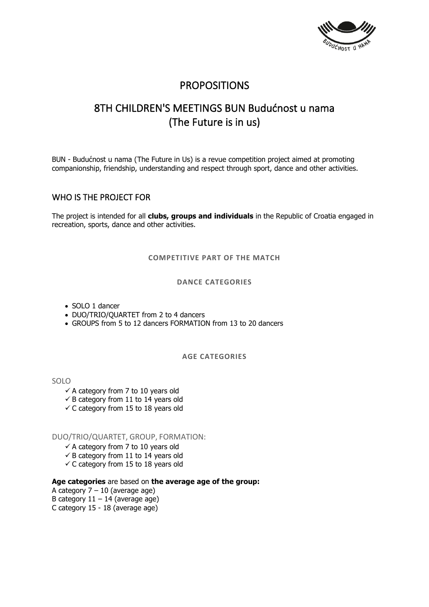

## **PROPOSITIONS**

# 8TH CHILDREN'S MEETINGS BUN Budućnost u nama (The Future is in us)

BUN - Budućnost u nama (The Future in Us) is a revue competition project aimed at promoting companionship, friendship, understanding and respect through sport, dance and other activities.

## WHO IS THE PROJECT FOR

The project is intended for all **clubs, groups and individuals** in the Republic of Croatia engaged in recreation, sports, dance and other activities.

**COMPETITIVE PART OF THE MATCH**

## **DANCE CATEGORIES**

- SOLO 1 dancer
- DUO/TRIO/QUARTET from 2 to 4 dancers
- GROUPS from 5 to 12 dancers FORMATION from 13 to 20 dancers

## **AGE CATEGORIES**

SOLO

- $\checkmark$  A category from 7 to 10 years old
- $\checkmark$  B category from 11 to 14 years old
- $\checkmark$  C category from 15 to 18 years old

## DUO/TRIO/QUARTET, GROUP, FORMATION:

- $\checkmark$  A category from 7 to 10 years old
- $\checkmark$  B category from 11 to 14 years old
- $\checkmark$  C category from 15 to 18 years old

## **Age categories** are based on **the average age of the group:**

- A category  $7 10$  (average age)
- B category  $11 14$  (average age)
- C category 15 18 (average age)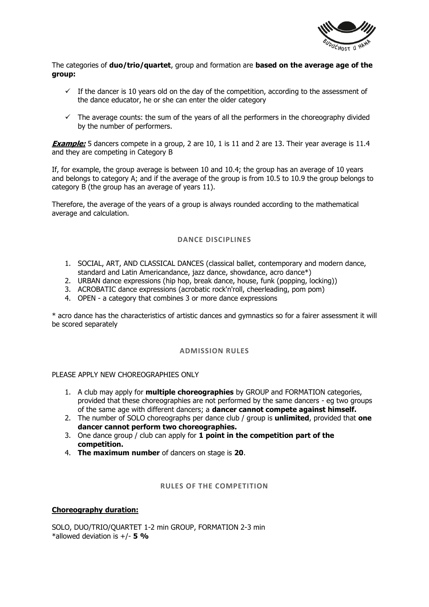

The categories of **duo/trio/quartet**, group and formation are **based on the average age of the group:**

- $\checkmark$  If the dancer is 10 years old on the day of the competition, according to the assessment of the dance educator, he or she can enter the older category
- $\checkmark$  The average counts: the sum of the years of all the performers in the choreography divided by the number of performers.

**Example:** 5 dancers compete in a group, 2 are 10, 1 is 11 and 2 are 13. Their year average is 11.4 and they are competing in Category B

If, for example, the group average is between 10 and 10.4; the group has an average of 10 years and belongs to category A; and if the average of the group is from 10.5 to 10.9 the group belongs to category B (the group has an average of years 11).

Therefore, the average of the years of a group is always rounded according to the mathematical average and calculation.

## **DANCE DISCIPLINES**

- 1. SOCIAL, ART, AND CLASSICAL DANCES (classical ballet, contemporary and modern dance, standard and Latin Americandance, jazz dance, showdance, acro dance\*)
- 2. URBAN dance expressions (hip hop, break dance, house, funk (popping, locking))
- 3. ACROBATIC dance expressions (acrobatic rock'n'roll, cheerleading, pom pom)
- 4. OPEN a category that combines 3 or more dance expressions

\* acro dance has the characteristics of artistic dances and gymnastics so for a fairer assessment it will be scored separately

#### **ADMISSION RULES**

#### PLEASE APPLY NEW CHOREOGRAPHIES ONLY

- 1. A club may apply for **multiple choreographies** by GROUP and FORMATION categories, provided that these choreographies are not performed by the same dancers - eg two groups of the same age with different dancers; a **dancer cannot compete against himself.**
- 2. The number of SOLO choreographs per dance club / group is **unlimited**, provided that **one dancer cannot perform two choreographies.**
- 3. One dance group / club can apply for **1 point in the competition part of the competition.**
- 4. **The maximum number** of dancers on stage is **20**.

## **RULES OF THE COMPETITION**

## **Choreography duration:**

SOLO, DUO/TRIO/QUARTET 1-2 min GROUP, FORMATION 2-3 min \*allowed deviation is +/- **5 %**